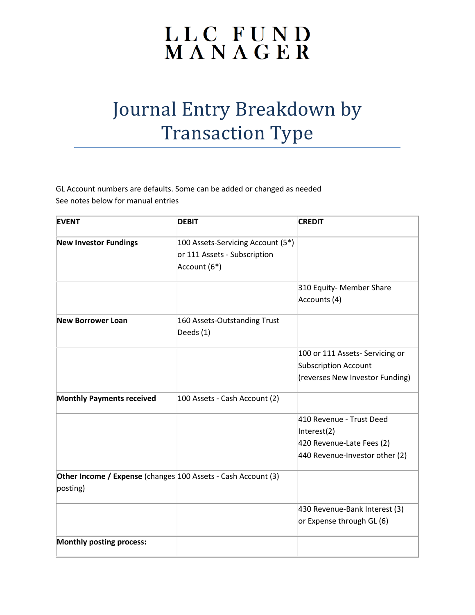## LLC FUND<br>MANAGER

## Journal Entry Breakdown by Transaction Type

GL Account numbers are defaults. Some can be added or changed as needed See notes below for manual entries

| <b>EVENT</b>                                                                     | <b>DEBIT</b>                                                                      | <b>CREDIT</b>                                                                                          |
|----------------------------------------------------------------------------------|-----------------------------------------------------------------------------------|--------------------------------------------------------------------------------------------------------|
| <b>New Investor Fundings</b>                                                     | 100 Assets-Servicing Account (5*)<br>or 111 Assets - Subscription<br>Account (6*) |                                                                                                        |
|                                                                                  |                                                                                   | 310 Equity- Member Share<br>Accounts (4)                                                               |
| <b>New Borrower Loan</b>                                                         | 160 Assets-Outstanding Trust<br>Deeds (1)                                         |                                                                                                        |
|                                                                                  |                                                                                   | 100 or 111 Assets- Servicing or<br>Subscription Account<br>(reverses New Investor Funding)             |
| <b>Monthly Payments received</b>                                                 | 100 Assets - Cash Account (2)                                                     |                                                                                                        |
|                                                                                  |                                                                                   | 410 Revenue - Trust Deed<br>Interest(2)<br>420 Revenue-Late Fees (2)<br>440 Revenue-Investor other (2) |
| <b>Other Income / Expense</b> (changes 100 Assets - Cash Account (3)<br>posting) |                                                                                   |                                                                                                        |
|                                                                                  |                                                                                   | 430 Revenue-Bank Interest (3)<br>or Expense through GL (6)                                             |
| Monthly posting process:                                                         |                                                                                   |                                                                                                        |